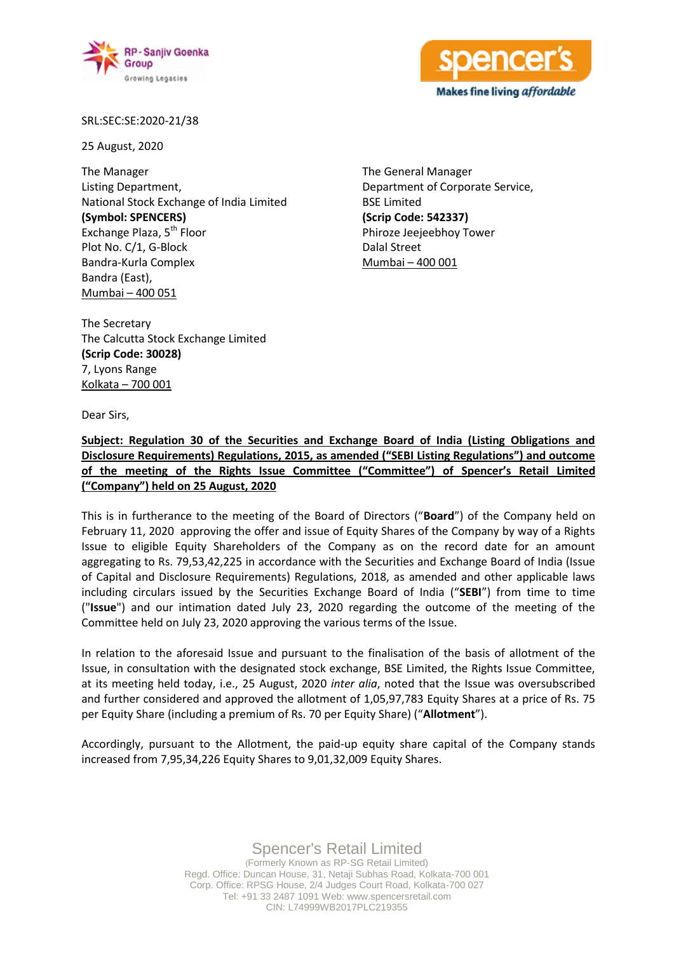



SRL:SEC:SE:2020-21/38

25 August, 2020

The Manager Listing Department, National Stock Exchange of India Limited **(Symbol: SPENCERS)** Exchange Plaza, 5<sup>th</sup> Floor Plot No. C/1, G-Block Bandra-Kurla Complex Bandra (East), Mumbai – 400 051

The General Manager Department of Corporate Service, BSE Limited **(Scrip Code: 542337)** Phiroze Jeejeebhoy Tower Dalal Street Mumbai – 400 001

The Secretary The Calcutta Stock Exchange Limited **(Scrip Code: 30028)** 7, Lyons Range Kolkata – 700 001

Dear Sirs,

**Subject: Regulation 30 of the Securities and Exchange Board of India (Listing Obligations and Disclosure Requirements) Regulations, 2015, as amended ("SEBI Listing Regulations") and outcome of the meeting of the Rights Issue Committee ("Committee") of Spencer's Retail Limited ("Company") held on 25 August, 2020**

This is in furtherance to the meeting of the Board of Directors ("**Board**") of the Company held on February 11, 2020 approving the offer and issue of Equity Shares of the Company by way of a Rights Issue to eligible Equity Shareholders of the Company as on the record date for an amount aggregating to Rs. 79,53,42,225 in accordance with the Securities and Exchange Board of India (Issue of Capital and Disclosure Requirements) Regulations, 2018, as amended and other applicable laws including circulars issued by the Securities Exchange Board of India ("**SEBI**") from time to time ("**Issue**") and our intimation dated July 23, 2020 regarding the outcome of the meeting of the Committee held on July 23, 2020 approving the various terms of the Issue.

In relation to the aforesaid Issue and pursuant to the finalisation of the basis of allotment of the Issue, in consultation with the designated stock exchange, BSE Limited, the Rights Issue Committee, at its meeting held today, i.e., 25 August, 2020 *inter alia*, noted that the Issue was oversubscribed and further considered and approved the allotment of 1,05,97,783 Equity Shares at a price of Rs. 75 per Equity Share (including a premium of Rs. 70 per Equity Share) ("**Allotment**").

Accordingly, pursuant to the Allotment, the paid-up equity share capital of the Company stands increased from 7,95,34,226 Equity Shares to 9,01,32,009 Equity Shares.

> Spencer's Retail Limited (Formerly Known as RP-SG Retail Limited) Regd. Office: Duncan House, 31, Netaji Subhas Road, Kolkata-700 001 Corp. Office: RPSG House, 2/4 Judges Court Road, Kolkata-700 027 Tel: +91 33 2487 1091 Web: www.spencersretail.com CIN: L74999WB2017PLC219355